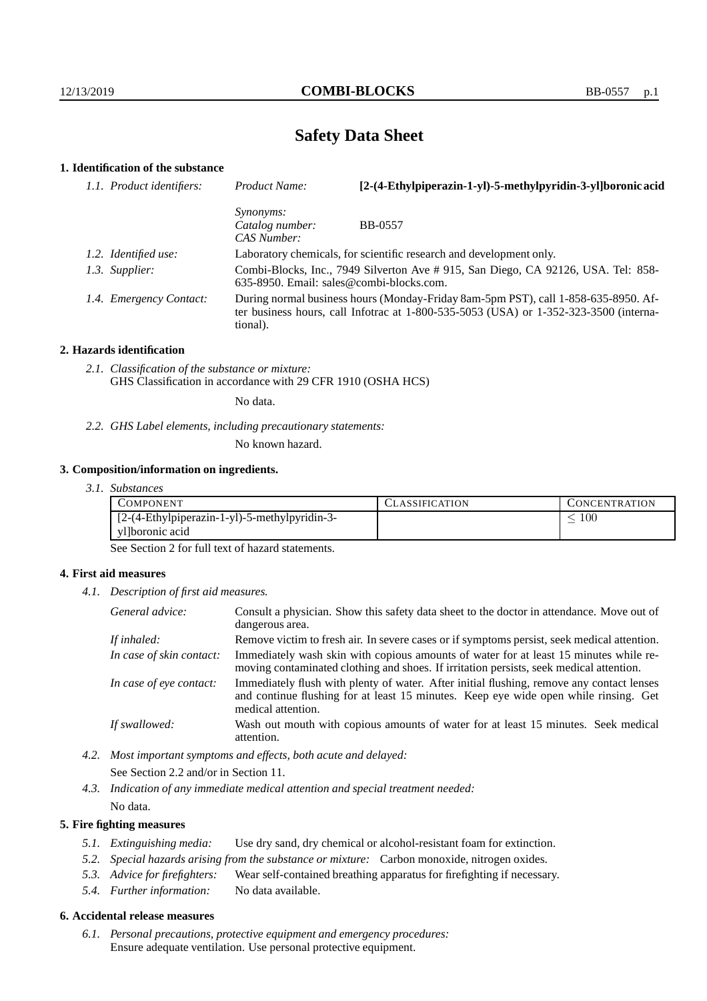# **Safety Data Sheet**

# **1. Identification of the substance**

| 1.1. Product identifiers: | Product Name:                                      | [2-(4-Ethylpiperazin-1-yl)-5-methylpyridin-3-yl]boronic acid                                                                                                                |
|---------------------------|----------------------------------------------------|-----------------------------------------------------------------------------------------------------------------------------------------------------------------------------|
|                           | <i>Synonyms:</i><br>Catalog number:<br>CAS Number: | <b>BB-0557</b>                                                                                                                                                              |
| 1.2. Identified use:      |                                                    | Laboratory chemicals, for scientific research and development only.                                                                                                         |
| 1.3. Supplier:            |                                                    | Combi-Blocks, Inc., 7949 Silverton Ave # 915, San Diego, CA 92126, USA. Tel: 858-<br>$635-8950$ . Email: sales@combi-blocks.com.                                            |
| 1.4. Emergency Contact:   | tional).                                           | During normal business hours (Monday-Friday 8am-5pm PST), call 1-858-635-8950. Af-<br>ter business hours, call Infotrac at 1-800-535-5053 (USA) or 1-352-323-3500 (interna- |

#### **2. Hazards identification**

*2.1. Classification of the substance or mixture:* GHS Classification in accordance with 29 CFR 1910 (OSHA HCS)

No data.

*2.2. GHS Label elements, including precautionary statements:*

No known hazard.

#### **3. Composition/information on ingredients.**

*3.1. Substances*

| COMPONENT                                     | LASSIFICATION | CONCENTRATION. |
|-----------------------------------------------|---------------|----------------|
| [2-(4-Ethylpiperazin-1-yl)-5-methylpyridin-3- |               | 100            |
| yl]boronic acid                               |               |                |

See Section 2 for full text of hazard statements.

### **4. First aid measures**

*4.1. Description of first aid measures.*

| General advice:          | Consult a physician. Show this safety data sheet to the doctor in attendance. Move out of<br>dangerous area.                                                                                            |
|--------------------------|---------------------------------------------------------------------------------------------------------------------------------------------------------------------------------------------------------|
| If inhaled:              | Remove victim to fresh air. In severe cases or if symptoms persist, seek medical attention.                                                                                                             |
| In case of skin contact: | Immediately wash skin with copious amounts of water for at least 15 minutes while re-<br>moving contaminated clothing and shoes. If irritation persists, seek medical attention.                        |
| In case of eye contact:  | Immediately flush with plenty of water. After initial flushing, remove any contact lenses<br>and continue flushing for at least 15 minutes. Keep eye wide open while rinsing. Get<br>medical attention. |
| If swallowed:            | Wash out mouth with copious amounts of water for at least 15 minutes. Seek medical<br>attention.                                                                                                        |

*4.2. Most important symptoms and effects, both acute and delayed:* See Section 2.2 and/or in Section 11.

*4.3. Indication of any immediate medical attention and special treatment needed:* No data.

### **5. Fire fighting measures**

- *5.1. Extinguishing media:* Use dry sand, dry chemical or alcohol-resistant foam for extinction.
- *5.2. Special hazards arising from the substance or mixture:* Carbon monoxide, nitrogen oxides.
- *5.3. Advice for firefighters:* Wear self-contained breathing apparatus for firefighting if necessary.
- *5.4. Further information:* No data available.

## **6. Accidental release measures**

*6.1. Personal precautions, protective equipment and emergency procedures:* Ensure adequate ventilation. Use personal protective equipment.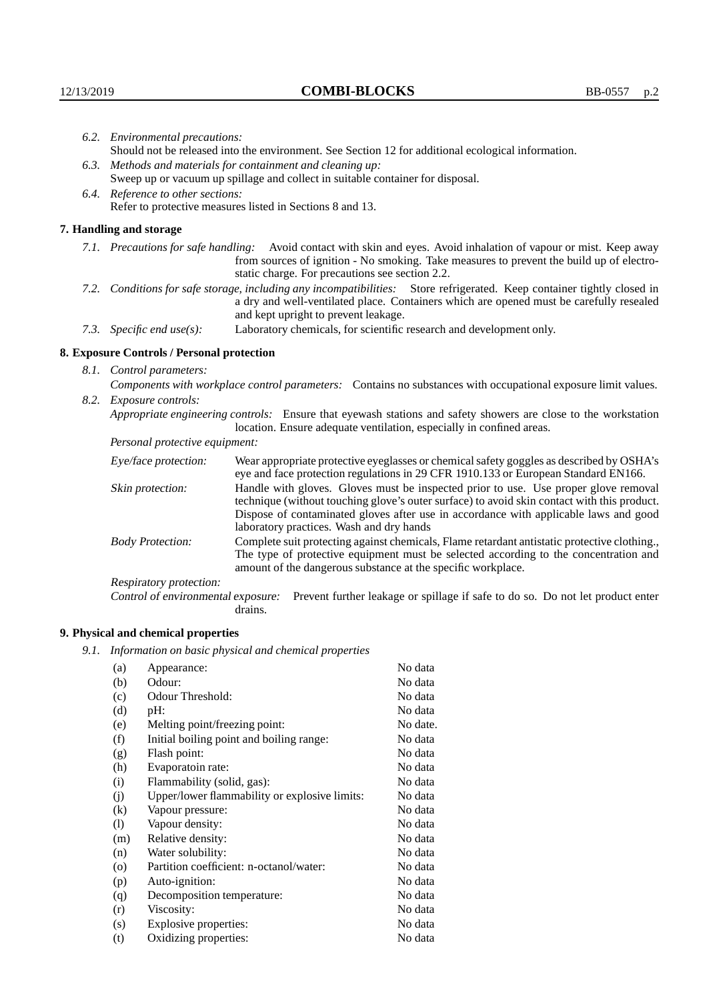|  | 6.2. Environmental precautions:                                                                                                                                                        |                                                                                                                                                                                                                                                                    |  |
|--|----------------------------------------------------------------------------------------------------------------------------------------------------------------------------------------|--------------------------------------------------------------------------------------------------------------------------------------------------------------------------------------------------------------------------------------------------------------------|--|
|  |                                                                                                                                                                                        | Should not be released into the environment. See Section 12 for additional ecological information.                                                                                                                                                                 |  |
|  |                                                                                                                                                                                        | 6.3. Methods and materials for containment and cleaning up:                                                                                                                                                                                                        |  |
|  | Sweep up or vacuum up spillage and collect in suitable container for disposal.                                                                                                         |                                                                                                                                                                                                                                                                    |  |
|  | 6.4. Reference to other sections:                                                                                                                                                      |                                                                                                                                                                                                                                                                    |  |
|  | Refer to protective measures listed in Sections 8 and 13.                                                                                                                              |                                                                                                                                                                                                                                                                    |  |
|  | 7. Handling and storage                                                                                                                                                                |                                                                                                                                                                                                                                                                    |  |
|  |                                                                                                                                                                                        | 7.1. Precautions for safe handling: Avoid contact with skin and eyes. Avoid inhalation of vapour or mist. Keep away<br>from sources of ignition - No smoking. Take measures to prevent the build up of electro-<br>static charge. For precautions see section 2.2. |  |
|  |                                                                                                                                                                                        | 7.2. Conditions for safe storage, including any incompatibilities: Store refrigerated. Keep container tightly closed in<br>a dry and well-ventilated place. Containers which are opened must be carefully resealed<br>and kept upright to prevent leakage.         |  |
|  | 7.3. Specific end use(s):                                                                                                                                                              | Laboratory chemicals, for scientific research and development only.                                                                                                                                                                                                |  |
|  | 8. Exposure Controls / Personal protection                                                                                                                                             |                                                                                                                                                                                                                                                                    |  |
|  | 8.1. Control parameters:                                                                                                                                                               |                                                                                                                                                                                                                                                                    |  |
|  | Components with workplace control parameters: Contains no substances with occupational exposure limit values.                                                                          |                                                                                                                                                                                                                                                                    |  |
|  | 8.2. Exposure controls:                                                                                                                                                                |                                                                                                                                                                                                                                                                    |  |
|  | Appropriate engineering controls: Ensure that eyewash stations and safety showers are close to the workstation<br>location. Ensure adequate ventilation, especially in confined areas. |                                                                                                                                                                                                                                                                    |  |
|  | Personal protective equipment:                                                                                                                                                         |                                                                                                                                                                                                                                                                    |  |
|  | Eye/face protection:                                                                                                                                                                   | Wear appropriate protective eyeglasses or chemical safety goggles as described by OSHA's<br>eye and face protection regulations in 29 CFR 1910.133 or European Standard EN166.                                                                                     |  |
|  | Skin protection:                                                                                                                                                                       | Handle with gloves. Gloves must be inspected prior to use. Use proper glove removal<br>technique (without touching glove's outer surface) to avoid skin contact with this product.                                                                                 |  |

| Eye/face protection:               | Wear appropriate protective eyeglasses or chemical safety goggles as described by OSHA's<br>eye and face protection regulations in 29 CFR 1910.133 or European Standard EN166.                                                                                                                                         |
|------------------------------------|------------------------------------------------------------------------------------------------------------------------------------------------------------------------------------------------------------------------------------------------------------------------------------------------------------------------|
| Skin protection:                   | Handle with gloves. Gloves must be inspected prior to use. Use proper glove removal<br>technique (without touching glove's outer surface) to avoid skin contact with this product.<br>Dispose of contaminated gloves after use in accordance with applicable laws and good<br>laboratory practices. Wash and dry hands |
| <b>Body Protection:</b>            | Complete suit protecting against chemicals, Flame retardant antistatic protective clothing.,<br>The type of protective equipment must be selected according to the concentration and<br>amount of the dangerous substance at the specific workplace.                                                                   |
| Respiratory protection:            |                                                                                                                                                                                                                                                                                                                        |
| Control of environmental exposure: | Prevent further leakage or spillage if safe to do so. Do not let product enter<br>drains.                                                                                                                                                                                                                              |

# **9. Physical and chemical properties**

*9.1. Information on basic physical and chemical properties*

| (a)                | Appearance:                                   | No data  |
|--------------------|-----------------------------------------------|----------|
| (b)                | Odour:                                        | No data  |
| (c)                | Odour Threshold:                              | No data  |
| (d)                | pH:                                           | No data  |
| (e)                | Melting point/freezing point:                 | No date. |
| (f)                | Initial boiling point and boiling range:      | No data  |
| (g)                | Flash point:                                  | No data  |
| (h)                | Evaporatoin rate:                             | No data  |
| (i)                | Flammability (solid, gas):                    | No data  |
| (i)                | Upper/lower flammability or explosive limits: | No data  |
| $\rm(k)$           | Vapour pressure:                              | No data  |
| (1)                | Vapour density:                               | No data  |
| (m)                | Relative density:                             | No data  |
| (n)                | Water solubility:                             | No data  |
| $\left( 0 \right)$ | Partition coefficient: n-octanol/water:       | No data  |
| (p)                | Auto-ignition:                                | No data  |
| (q)                | Decomposition temperature:                    | No data  |
| (r)                | Viscosity:                                    | No data  |
| (s)                | Explosive properties:                         | No data  |
| (t)                | Oxidizing properties:                         | No data  |